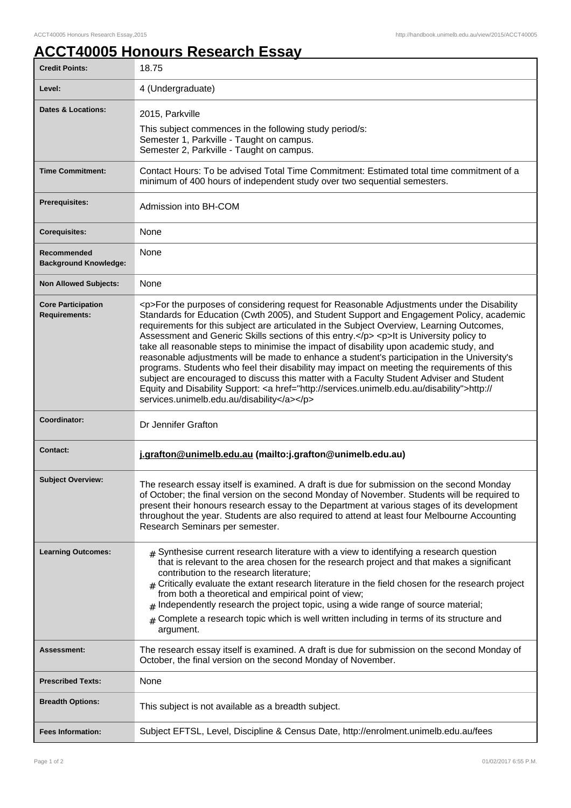## **ACCT40005 Honours Research Essay**

| <b>Credit Points:</b>                             | 18.75                                                                                                                                                                                                                                                                                                                                                                                                                                                                                                                                                                                                                                                                                                                                                                                                                                                                                                                        |
|---------------------------------------------------|------------------------------------------------------------------------------------------------------------------------------------------------------------------------------------------------------------------------------------------------------------------------------------------------------------------------------------------------------------------------------------------------------------------------------------------------------------------------------------------------------------------------------------------------------------------------------------------------------------------------------------------------------------------------------------------------------------------------------------------------------------------------------------------------------------------------------------------------------------------------------------------------------------------------------|
| Level:                                            | 4 (Undergraduate)                                                                                                                                                                                                                                                                                                                                                                                                                                                                                                                                                                                                                                                                                                                                                                                                                                                                                                            |
| <b>Dates &amp; Locations:</b>                     | 2015, Parkville<br>This subject commences in the following study period/s:<br>Semester 1, Parkville - Taught on campus.<br>Semester 2, Parkville - Taught on campus.                                                                                                                                                                                                                                                                                                                                                                                                                                                                                                                                                                                                                                                                                                                                                         |
| <b>Time Commitment:</b>                           | Contact Hours: To be advised Total Time Commitment: Estimated total time commitment of a<br>minimum of 400 hours of independent study over two sequential semesters.                                                                                                                                                                                                                                                                                                                                                                                                                                                                                                                                                                                                                                                                                                                                                         |
| <b>Prerequisites:</b>                             | Admission into BH-COM                                                                                                                                                                                                                                                                                                                                                                                                                                                                                                                                                                                                                                                                                                                                                                                                                                                                                                        |
| <b>Corequisites:</b>                              | None                                                                                                                                                                                                                                                                                                                                                                                                                                                                                                                                                                                                                                                                                                                                                                                                                                                                                                                         |
| Recommended<br><b>Background Knowledge:</b>       | None                                                                                                                                                                                                                                                                                                                                                                                                                                                                                                                                                                                                                                                                                                                                                                                                                                                                                                                         |
| <b>Non Allowed Subjects:</b>                      | None                                                                                                                                                                                                                                                                                                                                                                                                                                                                                                                                                                                                                                                                                                                                                                                                                                                                                                                         |
| <b>Core Participation</b><br><b>Requirements:</b> | <p>For the purposes of considering request for Reasonable Adjustments under the Disability<br/>Standards for Education (Cwth 2005), and Student Support and Engagement Policy, academic<br/>requirements for this subject are articulated in the Subject Overview, Learning Outcomes,<br/>Assessment and Generic Skills sections of this entry.</p> <p>lt is University policy to<br/>take all reasonable steps to minimise the impact of disability upon academic study, and<br/>reasonable adjustments will be made to enhance a student's participation in the University's<br/>programs. Students who feel their disability may impact on meeting the requirements of this<br/>subject are encouraged to discuss this matter with a Faculty Student Adviser and Student<br/>Equity and Disability Support: &lt; a href="http://services.unimelb.edu.au/disability"&gt;http://<br/>services.unimelb.edu.au/disability</p> |
| Coordinator:                                      | Dr Jennifer Grafton                                                                                                                                                                                                                                                                                                                                                                                                                                                                                                                                                                                                                                                                                                                                                                                                                                                                                                          |
| <b>Contact:</b>                                   | j.grafton@unimelb.edu.au (mailto:j.grafton@unimelb.edu.au)                                                                                                                                                                                                                                                                                                                                                                                                                                                                                                                                                                                                                                                                                                                                                                                                                                                                   |
| <b>Subject Overview:</b>                          | The research essay itself is examined. A draft is due for submission on the second Monday<br>of October; the final version on the second Monday of November. Students will be required to<br>present their honours research essay to the Department at various stages of its development<br>throughout the year. Students are also required to attend at least four Melbourne Accounting<br>Research Seminars per semester.                                                                                                                                                                                                                                                                                                                                                                                                                                                                                                  |
| <b>Learning Outcomes:</b>                         | $*$ Synthesise current research literature with a view to identifying a research question<br>that is relevant to the area chosen for the research project and that makes a significant<br>contribution to the research literature;<br>$_{\#}$ Critically evaluate the extant research literature in the field chosen for the research project<br>from both a theoretical and empirical point of view;<br>$#$ Independently research the project topic, using a wide range of source material;<br>$_{\#}$ Complete a research topic which is well written including in terms of its structure and<br>argument.                                                                                                                                                                                                                                                                                                                |
| Assessment:                                       | The research essay itself is examined. A draft is due for submission on the second Monday of<br>October, the final version on the second Monday of November.                                                                                                                                                                                                                                                                                                                                                                                                                                                                                                                                                                                                                                                                                                                                                                 |
| <b>Prescribed Texts:</b>                          | None                                                                                                                                                                                                                                                                                                                                                                                                                                                                                                                                                                                                                                                                                                                                                                                                                                                                                                                         |
| <b>Breadth Options:</b>                           | This subject is not available as a breadth subject.                                                                                                                                                                                                                                                                                                                                                                                                                                                                                                                                                                                                                                                                                                                                                                                                                                                                          |
| <b>Fees Information:</b>                          | Subject EFTSL, Level, Discipline & Census Date, http://enrolment.unimelb.edu.au/fees                                                                                                                                                                                                                                                                                                                                                                                                                                                                                                                                                                                                                                                                                                                                                                                                                                         |